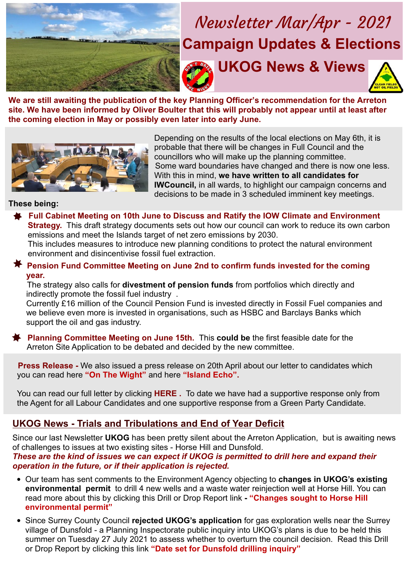

# Newsletter Mar/Apr - 2021 **Campaign Updates & Elections**





**We are still awaiting the publication of the key Planning Officer's recommendation for the Arreton site. We have been informed by Oliver Boulter that this will probably not appear until at least after the coming election in May or possibly even later into early June.** 



Depending on the results of the local elections on May 6th, it is probable that there will be changes in Full Council and the councillors who will make up the planning committee. Some ward boundaries have changed and there is now one less. With this in mind, **we have written to all candidates for IWCouncil,** in all wards, to highlight our campaign concerns and decisions to be made in 3 scheduled imminent key meetings.

#### **These being:**

**Full Cabinet Meeting on 10th June to Discuss and Ratify the IOW Climate and Environment Strategy.** This draft strategy documents sets out how our council can work to reduce its own carbon emissions and meet the Islands target of net zero emissions by 2030.

This includes measures to introduce new planning conditions to protect the natural environment environment and disincentivise fossil fuel extraction.

**Pension Fund Committee Meeting on June 2nd to confirm funds invested for the coming year.**

The strategy also calls for **divestment of pension funds** from portfolios which directly and indirectly promote the fossil fuel industry .

Currently £16 million of the Council Pension Fund is invested directly in Fossil Fuel companies and we believe even more is invested in organisations, such as HSBC and Barclays Banks which support the oil and gas industry.

**Planning Committee Meeting on June 15th.** This **could be** the first feasible date for the Arreton Site Application to be debated and decided by the new committee.

**Press Release -** We also issued a press release on 20th April about our letter to candidates which you can read here **["On The Wight"](https://onthewight.com/dont-drill-the-wight-council-candidates-must-think-globally-but-act-locally/)** and here **["Island Echo"](https://www.islandecho.co.uk/dont-drill-the-wight-campaign-call-on-councillor-hopefuls-to-protect-the-environment/).**

You can read our full letter by clicking **[HERE](https://0f514b74-9474-4f50-9f21-e2a47e831cb8.filesusr.com/ugd/3efc11_0bec7e1dd3934c91971a950b9b5d913a.pdf) .** To date we have had a supportive response only from the Agent for all Labour Candidates and one supportive response from a Green Party Candidate.

# **UKOG News - Trials and Tribulations and End of Year Deficit**

Since our last Newsletter **UKOG** has been pretty silent about the Arreton Application, but is awaiting news of challenges to issues at two existing sites - Horse Hill and Dunsfold.

*These are the kind of issues we can expect if UKOG is permitted to drill here and expand their operation in the future, or if their application is rejected.*

- Our team has sent comments to the Environment Agency objecting to **changes in UKOG's existing environmental permit** to drill 4 new wells and a waste water reinjection well at Horse Hill. You can read more about this by clicking this Drill or Drop Report link **- ["Changes sought to Horse Hill](https://drillordrop.com/2021/03/04/changes-sought-to-horse-hill-environmental-permit/)  [environmental permit"](https://drillordrop.com/2021/03/04/changes-sought-to-horse-hill-environmental-permit/)**
- Since Surrey County Council **rejected UKOG's application** for gas exploration wells near the Surrey village of Dunsfold - a Planning Inspectorate public inquiry into UKOG's plans is due to be held this summer on Tuesday 27 July 2021 to assess whether to overturn the council decision. Read this Drill or Drop Report by clicking this link **["Date set for Dunsfold drilling inquiry"](https://drillordrop.com/2021/03/04/date-set-for-dunsfold-drilling-inquiry/)**